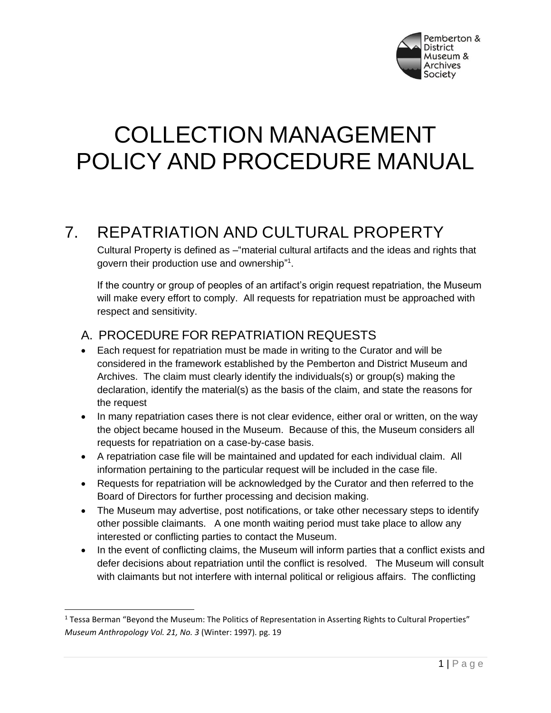

# COLLECTION MANAGEMENT POLICY AND PROCEDURE MANUAL

## 7. REPATRIATION AND CULTURAL PROPERTY

Cultural Property is defined as –"material cultural artifacts and the ideas and rights that govern their production use and ownership"<sup>1</sup>.

If the country or group of peoples of an artifact's origin request repatriation, the Museum will make every effort to comply. All requests for repatriation must be approached with respect and sensitivity.

#### A. PROCEDURE FOR REPATRIATION REQUESTS

- Each request for repatriation must be made in writing to the Curator and will be considered in the framework established by the Pemberton and District Museum and Archives. The claim must clearly identify the individuals(s) or group(s) making the declaration, identify the material(s) as the basis of the claim, and state the reasons for the request
- In many repatriation cases there is not clear evidence, either oral or written, on the way the object became housed in the Museum. Because of this, the Museum considers all requests for repatriation on a case-by-case basis.
- A repatriation case file will be maintained and updated for each individual claim. All information pertaining to the particular request will be included in the case file.
- Requests for repatriation will be acknowledged by the Curator and then referred to the Board of Directors for further processing and decision making.
- The Museum may advertise, post notifications, or take other necessary steps to identify other possible claimants. A one month waiting period must take place to allow any interested or conflicting parties to contact the Museum.
- In the event of conflicting claims, the Museum will inform parties that a conflict exists and defer decisions about repatriation until the conflict is resolved. The Museum will consult with claimants but not interfere with internal political or religious affairs. The conflicting

<sup>1</sup> Tessa Berman "Beyond the Museum: The Politics of Representation in Asserting Rights to Cultural Properties" *Museum Anthropology Vol. 21, No. 3* (Winter: 1997). pg. 19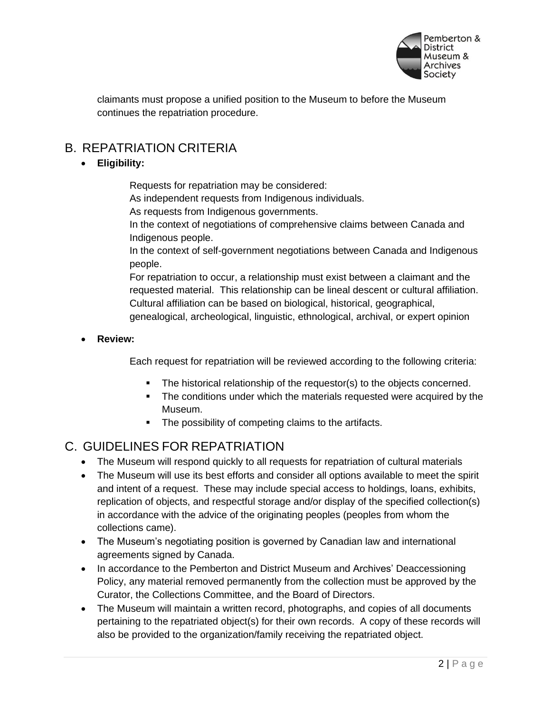

claimants must propose a unified position to the Museum to before the Museum continues the repatriation procedure.

### B. REPATRIATION CRITERIA

#### • **Eligibility:**

Requests for repatriation may be considered:

As independent requests from Indigenous individuals.

As requests from Indigenous governments.

In the context of negotiations of comprehensive claims between Canada and Indigenous people.

In the context of self-government negotiations between Canada and Indigenous people.

For repatriation to occur, a relationship must exist between a claimant and the requested material. This relationship can be lineal descent or cultural affiliation. Cultural affiliation can be based on biological, historical, geographical, genealogical, archeological, linguistic, ethnological, archival, or expert opinion

• **Review:**

Each request for repatriation will be reviewed according to the following criteria:

- The historical relationship of the requestor(s) to the objects concerned.
- **•** The conditions under which the materials requested were acquired by the Museum.
- The possibility of competing claims to the artifacts.

#### C. GUIDELINES FOR REPATRIATION

- The Museum will respond quickly to all requests for repatriation of cultural materials
- The Museum will use its best efforts and consider all options available to meet the spirit and intent of a request. These may include special access to holdings, loans, exhibits, replication of objects, and respectful storage and/or display of the specified collection(s) in accordance with the advice of the originating peoples (peoples from whom the collections came).
- The Museum's negotiating position is governed by Canadian law and international agreements signed by Canada.
- In accordance to the Pemberton and District Museum and Archives' Deaccessioning Policy, any material removed permanently from the collection must be approved by the Curator, the Collections Committee, and the Board of Directors.
- The Museum will maintain a written record, photographs, and copies of all documents pertaining to the repatriated object(s) for their own records. A copy of these records will also be provided to the organization/family receiving the repatriated object.